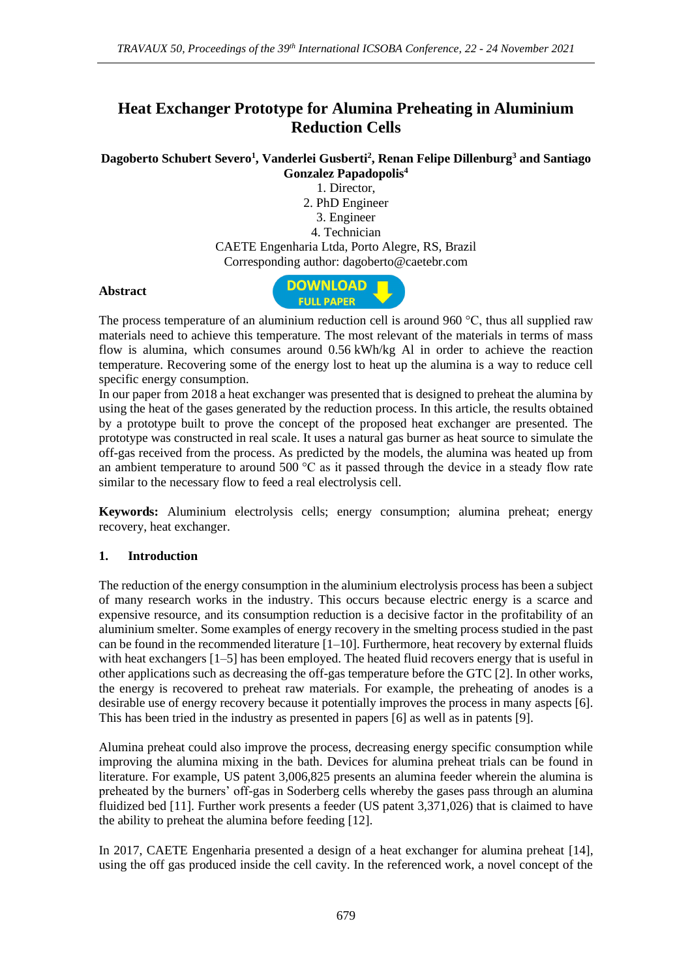# **Heat Exchanger Prototype for Alumina Preheating in Aluminium Reduction Cells**

**Dagoberto Schubert Severo<sup>1</sup> , Vanderlei Gusberti<sup>2</sup> , Renan Felipe Dillenburg<sup>3</sup> and Santiago Gonzalez Papadopolis<sup>4</sup>**

1. Director, 2. PhD Engineer 3. Engineer 4. Technician CAETE Engenharia Ltda, Porto Alegre, RS, Brazil Corresponding author: dagoberto@caetebr.com

#### **Abstract**



The process temperature of an aluminium reduction cell is around 960  $\degree$ C, thus all supplied raw materials need to achieve this temperature. The most relevant of the materials in terms of mass flow is alumina, which consumes around 0.56 kWh/kg Al in order to achieve the reaction temperature. Recovering some of the energy lost to heat up the alumina is a way to reduce cell specific energy consumption.

In our paper from 2018 a heat exchanger was presented that is designed to preheat the alumina by using the heat of the gases generated by the reduction process. In this article, the results obtained by a prototype built to prove the concept of the proposed heat exchanger are presented. The prototype was constructed in real scale. It uses a natural gas burner as heat source to simulate the off-gas received from the process. As predicted by the models, the alumina was heated up from an ambient temperature to around  $500^{\circ}$ C as it passed through the device in a steady flow rate similar to the necessary flow to feed a real electrolysis cell.

**Keywords:** Aluminium electrolysis cells; energy consumption; alumina preheat; energy recovery, heat exchanger.

## **1. Introduction**

The reduction of the energy consumption in the aluminium electrolysis process has been a subject of many research works in the industry. This occurs because electric energy is a scarce and expensive resource, and its consumption reduction is a decisive factor in the profitability of an aluminium smelter. Some examples of energy recovery in the smelting process studied in the past can be found in the recommended literature [\[1–](#page-2-0)10]. Furthermore, heat recovery by external fluids with heat exchangers [\[1–](#page-2-0)[5\]](#page-3-0) has been employed. The heated fluid recovers energy that is useful in other applications such as decreasing the off-gas temperature before the GTC [\[2\]](#page-2-1). In other works, the energy is recovered to preheat raw materials. For example, the preheating of anodes is a desirable use of energy recovery because it potentially improves the process in many aspects [\[6\]](#page-3-1). This has been tried in the industry as presented in papers [\[6\]](#page-3-1) as well as in patents [\[9\]](#page-3-2).

Alumina preheat could also improve the process, decreasing energy specific consumption while improving the alumina mixing in the bath. Devices for alumina preheat trials can be found in literature. For example, US patent 3,006,825 presents an alumina feeder wherein the alumina is preheated by the burners' off-gas in Soderberg cells whereby the gases pass through an alumina fluidized bed [\[11\]](#page-3-3). Further work presents a feeder (US patent 3,371,026) that is claimed to have the ability to preheat the alumina before feeding [\[12\]](#page-3-4).

In 2017, CAETE Engenharia presented a design of a heat exchanger for alumina preheat [14], using the off gas produced inside the cell cavity. In the referenced work, a novel concept of the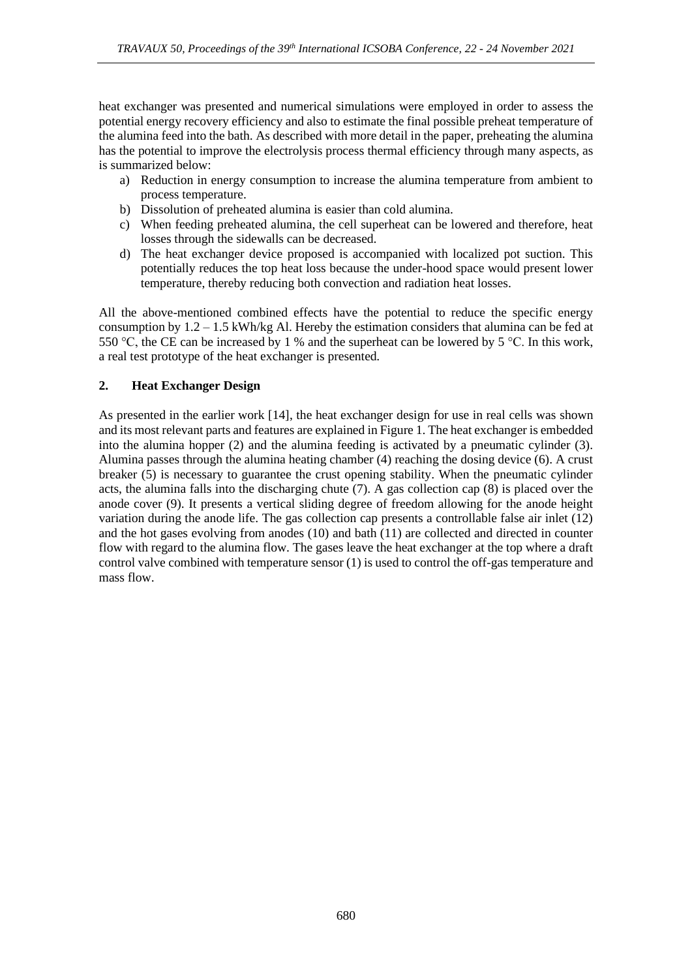heat exchanger was presented and numerical simulations were employed in order to assess the potential energy recovery efficiency and also to estimate the final possible preheat temperature of the alumina feed into the bath. As described with more detail in the paper, preheating the alumina has the potential to improve the electrolysis process thermal efficiency through many aspects, as is summarized below:

- a) Reduction in energy consumption to increase the alumina temperature from ambient to process temperature.
- b) Dissolution of preheated alumina is easier than cold alumina.
- c) When feeding preheated alumina, the cell superheat can be lowered and therefore, heat losses through the sidewalls can be decreased.
- d) The heat exchanger device proposed is accompanied with localized pot suction. This potentially reduces the top heat loss because the under-hood space would present lower temperature, thereby reducing both convection and radiation heat losses.

All the above-mentioned combined effects have the potential to reduce the specific energy consumption by  $1.2 - 1.5$  kWh/kg Al. Hereby the estimation considers that alumina can be fed at 550 °C, the CE can be increased by 1 % and the superheat can be lowered by 5 °C. In this work, a real test prototype of the heat exchanger is presented.

## **2. Heat Exchanger Design**

As presented in the earlier work [14], the heat exchanger design for use in real cells was shown and its most relevant parts and features are explained in Figure 1. The heat exchanger is embedded into the alumina hopper (2) and the alumina feeding is activated by a pneumatic cylinder (3). Alumina passes through the alumina heating chamber (4) reaching the dosing device (6). A crust breaker (5) is necessary to guarantee the crust opening stability. When the pneumatic cylinder acts, the alumina falls into the discharging chute (7). A gas collection cap (8) is placed over the anode cover (9). It presents a vertical sliding degree of freedom allowing for the anode height variation during the anode life. The gas collection cap presents a controllable false air inlet (12) and the hot gases evolving from anodes (10) and bath (11) are collected and directed in counter flow with regard to the alumina flow. The gases leave the heat exchanger at the top where a draft control valve combined with temperature sensor (1) is used to control the off-gas temperature and mass flow.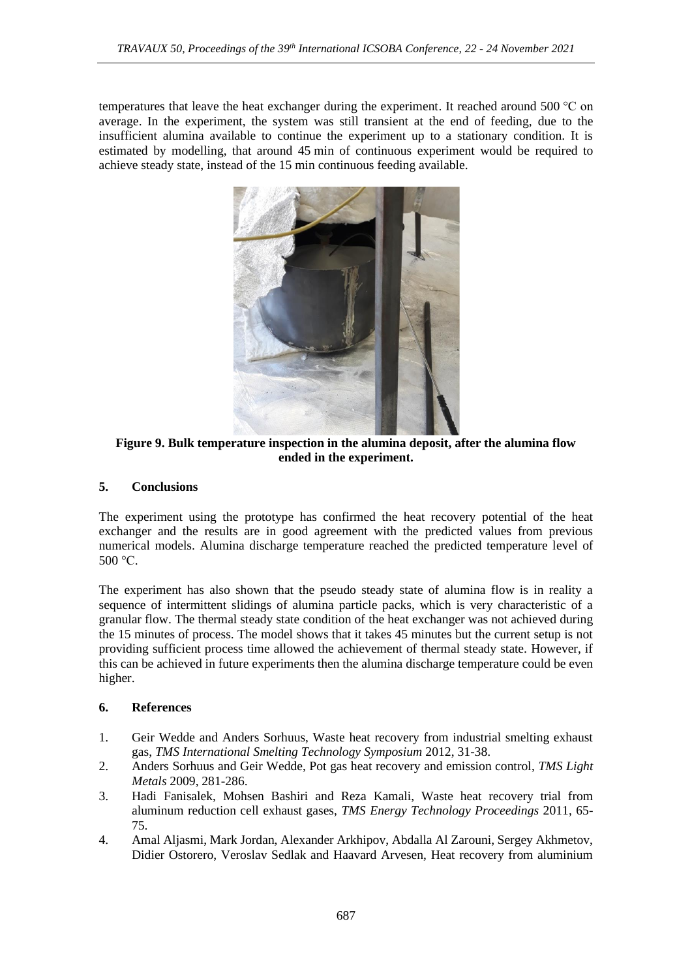temperatures that leave the heat exchanger during the experiment. It reached around 500 °C on average. In the experiment, the system was still transient at the end of feeding, due to the insufficient alumina available to continue the experiment up to a stationary condition. It is estimated by modelling, that around 45 min of continuous experiment would be required to achieve steady state, instead of the 15 min continuous feeding available.



**Figure 9. Bulk temperature inspection in the alumina deposit, after the alumina flow ended in the experiment.**

## **5. Conclusions**

The experiment using the prototype has confirmed the heat recovery potential of the heat exchanger and the results are in good agreement with the predicted values from previous numerical models. Alumina discharge temperature reached the predicted temperature level of 500 °C.

The experiment has also shown that the pseudo steady state of alumina flow is in reality a sequence of intermittent slidings of alumina particle packs, which is very characteristic of a granular flow. The thermal steady state condition of the heat exchanger was not achieved during the 15 minutes of process. The model shows that it takes 45 minutes but the current setup is not providing sufficient process time allowed the achievement of thermal steady state. However, if this can be achieved in future experiments then the alumina discharge temperature could be even higher.

## **6. References**

- <span id="page-2-0"></span>1. Geir Wedde and Anders Sorhuus, Waste heat recovery from industrial smelting exhaust gas, *TMS International Smelting Technology Symposium* 2012, 31-38.
- <span id="page-2-1"></span>2. Anders Sorhuus and Geir Wedde, Pot gas heat recovery and emission control, *TMS Light Metals* 2009, 281-286.
- 3. Hadi Fanisalek, Mohsen Bashiri and Reza Kamali, Waste heat recovery trial from aluminum reduction cell exhaust gases, *TMS Energy Technology Proceedings* 2011, 65- 75.
- 4. Amal Aljasmi, Mark Jordan, Alexander Arkhipov, Abdalla Al Zarouni, Sergey Akhmetov, Didier Ostorero, Veroslav Sedlak and Haavard Arvesen, Heat recovery from aluminium